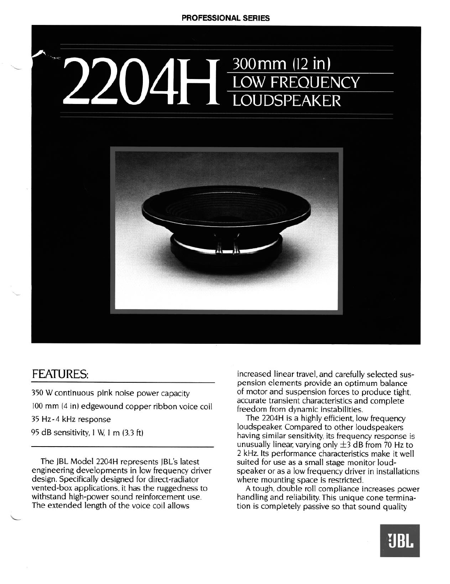# 300 mm (12 in) **LOW FREQUENCY** LOUDSPEAKER



## FEATURES:

L

**350** W continuous pink noise power capacity 100 mm **(4** in) edgewound copper ribbon voice coil 35 Hz-4 kHz response

95 dB sensitivity, 1 W, 1 m (3.3 ft)

The jBL Model 2204H represents JBL's latest engineering developments in low frequency driver design. Specifically designed for direct-radiator vented-box applications, it has the ruggedness to withstand high-power sound reinforcement use. The extended length of the voice coil allows

increased linear travel, and carefully selected suspension elements provide an optimum balance of motor and suspension forces to produce tight, accurate transient characteristics and complete freedom from dynamic instabilities.

The 2204H is a highly efficient, low frequency loudspeaker Compared to other loudspeakers having similar sensitivity, its frequency response is unusually linear, varying only  $\pm$ 3 dB from 70 Hz to 2 kHz. Its performance characteristics make it well suited for use as a small stage monitor loudspeaker or as a low frequency driver in installations where mounting space is restricted.

A tough, double roll compliance increases power handling and reliability. This unique cone termination is completely passive so that sound quality